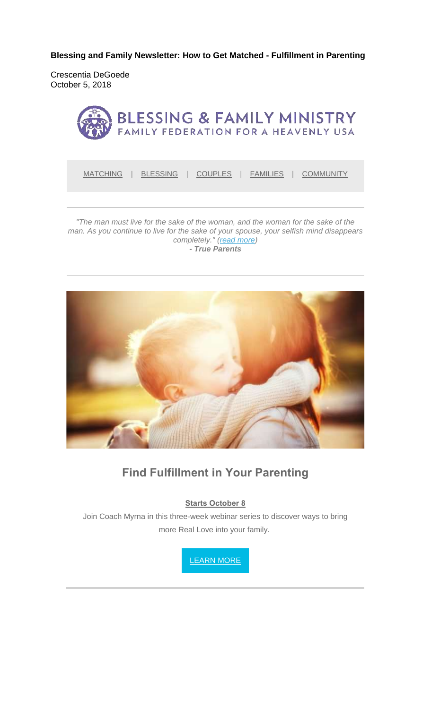**Blessing and Family Newsletter: How to Get Matched - Fulfillment in Parenting** 

Crescentia DeGoede October 5, 2018



MATCHING | BLESSING | COUPLES | FAMILIES | COMMUNITY

*"The man must live for the sake of the woman, and the woman for the sake of the man. As you continue to live for the sake of your spouse, your selfish mind disappears completely." (read more) - True Parents*



#### **Find Fulfillment in Your Parenting**

**Starts October 8**

Join Coach Myrna in this three-week webinar series to discover ways to bring more Real Love into your family.

LEARN MORE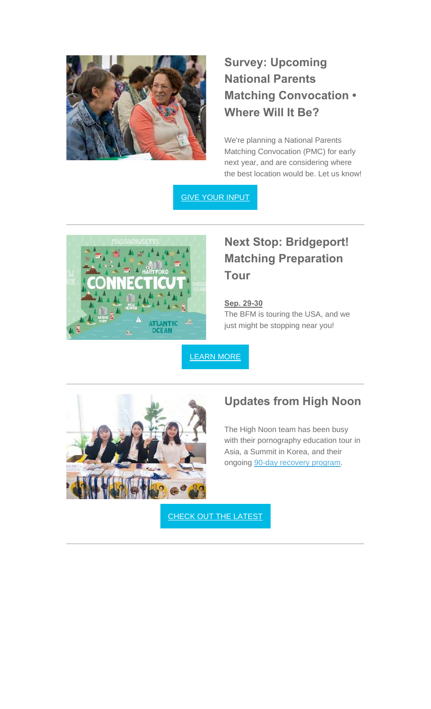

# **Survey: Upcoming National Parents Matching Convocation • Where Will It Be?**

We're planning a National Parents Matching Convocation (PMC) for early next year, and are considering where the best location would be. Let us know!

GIVE YOUR INPUT



## **Next Stop: Bridgeport! Matching Preparation Tour**

**Sep. 29-30** The BFM is touring the USA, and we just might be stopping near you!

LEARN MORE



#### **Updates from High Noon**

The High Noon team has been busy with their pornography education tour in Asia, a Summit in Korea, and their ongoing 90-day recovery program.

CHECK OUT THE LATEST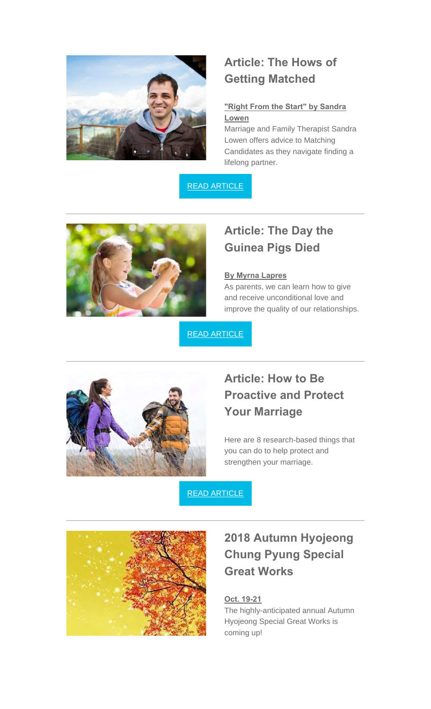

## **Article: The Hows of Getting Matched**

#### **"Right From the Start" by Sandra Lowen**

Marriage and Family Therapist Sandra Lowen offers advice to Matching Candidates as they navigate finding a lifelong partner.

READ ARTICLE



# **Article: The Day the Guinea Pigs Died**

#### **By Myrna Lapres**

As parents, we can learn how to give and receive unconditional love and improve the quality of our relationships.

READ ARTICLE



## **Article: How to Be Proactive and Protect Your Marriage**

Here are 8 research-based things that you can do to help protect and strengthen your marriage.

READ ARTICLE



## **2018 Autumn Hyojeong Chung Pyung Special Great Works**

#### **Oct. 19-21**

The highly-anticipated annual Autumn Hyojeong Special Great Works is coming up!